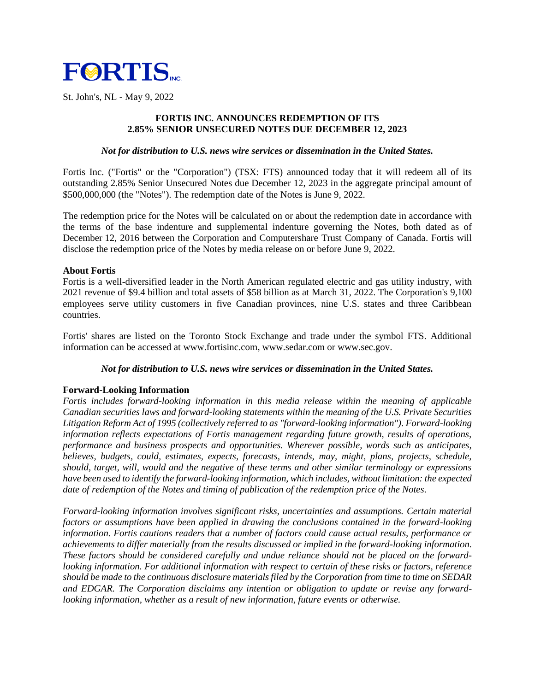

St. John's, NL - May 9, 2022

# **FORTIS INC. ANNOUNCES REDEMPTION OF ITS 2.85% SENIOR UNSECURED NOTES DUE DECEMBER 12, 2023**

### *Not for distribution to U.S. news wire services or dissemination in the United States.*

Fortis Inc. ("Fortis" or the "Corporation") (TSX: FTS) announced today that it will redeem all of its outstanding 2.85% Senior Unsecured Notes due December 12, 2023 in the aggregate principal amount of \$500,000,000 (the "Notes"). The redemption date of the Notes is June 9, 2022.

The redemption price for the Notes will be calculated on or about the redemption date in accordance with the terms of the base indenture and supplemental indenture governing the Notes, both dated as of December 12, 2016 between the Corporation and Computershare Trust Company of Canada. Fortis will disclose the redemption price of the Notes by media release on or before June 9, 2022.

### **About Fortis**

Fortis is a well-diversified leader in the North American regulated electric and gas utility industry, with 2021 revenue of \$9.4 billion and total assets of \$58 billion as at March 31, 2022. The Corporation's 9,100 employees serve utility customers in five Canadian provinces, nine U.S. states and three Caribbean countries.

Fortis' shares are listed on the Toronto Stock Exchange and trade under the symbol FTS. Additional information can be accessed at www.fortisinc.com, www.sedar.com or www.sec.gov.

# *Not for distribution to U.S. news wire services or dissemination in the United States.*

# **Forward-Looking Information**

*Fortis includes forward-looking information in this media release within the meaning of applicable Canadian securities laws and forward-looking statements within the meaning of the U.S. Private Securities Litigation Reform Act of 1995 (collectively referred to as "forward-looking information"). Forward-looking information reflects expectations of Fortis management regarding future growth, results of operations, performance and business prospects and opportunities. Wherever possible, words such as anticipates, believes, budgets, could, estimates, expects, forecasts, intends, may, might, plans, projects, schedule, should, target, will, would and the negative of these terms and other similar terminology or expressions have been used to identify the forward-looking information, which includes, without limitation: the expected date of redemption of the Notes and timing of publication of the redemption price of the Notes.*

*Forward-looking information involves significant risks, uncertainties and assumptions. Certain material factors or assumptions have been applied in drawing the conclusions contained in the forward-looking information. Fortis cautions readers that a number of factors could cause actual results, performance or achievements to differ materially from the results discussed or implied in the forward-looking information. These factors should be considered carefully and undue reliance should not be placed on the forwardlooking information. For additional information with respect to certain of these risks or factors, reference should be made to the continuous disclosure materials filed by the Corporation from time to time on SEDAR and EDGAR. The Corporation disclaims any intention or obligation to update or revise any forwardlooking information, whether as a result of new information, future events or otherwise.*